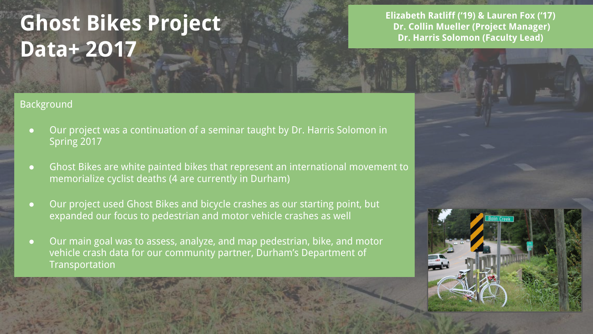# **Ghost Bikes Project Data+ 2O17**

## **Background**

- Our project was a continuation of a seminar taught by Dr. Harris Solomon in Spring 2017
- Ghost Bikes are white painted bikes that represent an international movement to memorialize cyclist deaths (4 are currently in Durham)
- Our project used Ghost Bikes and bicycle crashes as our starting point, but expanded our focus to pedestrian and motor vehicle crashes as well
- Our main goal was to assess, analyze, and map pedestrian, bike, and motor vehicle crash data for our community partner, Durham's Department of **Transportation**

**Elizabeth Ratliff ('19) & Lauren Fox ('17) Dr. Collin Mueller (Project Manager) Dr. Harris Solomon (Faculty Lead)**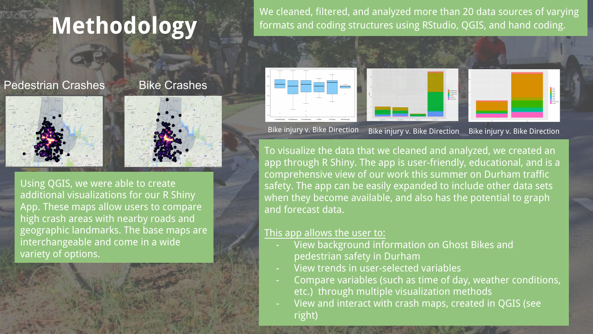# **Methodology**

We cleaned, filtered, and analyzed more than 20 data sources of varying formats and coding structures using RStudio, QGIS, and hand coding.

## **Pedestrian Crashes** Bike Crashes





Using QGIS, we were able to create additional visualizations for our R Shiny App. These maps allow users to compare high crash areas with nearby roads and geographic landmarks. The base maps are interchangeable and come in a wide variety of options.





Bike injury v. Bike Direction Bike injury v. Bike Direction Bike injury v. Bike Direction

To visualize the data that we cleaned and analyzed, we created an app through R Shiny. The app is user-friendly, educational, and is a comprehensive view of our work this summer on Durham traffic safety. The app can be easily expanded to include other data sets when they become available, and also has the potential to graph and forecast data.

## This app allows the user to:

- View background information on Ghost Bikes and pedestrian safety in Durham
- View trends in user-selected variables
- Compare variables (such as time of day, weather conditions, etc.) through multiple visualization methods
- View and interact with crash maps, created in QGIS (see right)